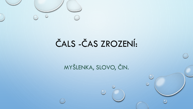

# ČALS -ČAS ZROZENÍ:

### MYŠLENKA, SLOVO, ČIN.

 $\bigcirc$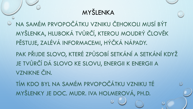## MYŠLENKA

NA SAMÉM PRVOPOČÁTKU VZNIKU ČEHOKOLI MUSÍ BÝT MYŠLENKA, HLUBOKÁ TVŮRČÍ, KTEROU MOUDRÝ ČLOVĚK PĚSTUJE, ZALÉVÁ INFORMACEMI, HÝČKÁ NÁPADY.

PAK PŘIJDE SLOVO, KTERÉ ZPŮSOBÍ SETKÁNÍ A SETKÁNÍ KDYŽ JE TVŮRČÍ DÁ SLOVO KE SLOVU, ENERGII K ENERGII A VZNIKNE ČIN.

TÍM KDO BYL NA SAMÉM PRVOPOČÁTKU VZNIKU TÉ MYŠLENKY JE DOC. MUDR. IVA HOLMEROVÁ, PH.D.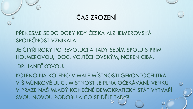## ČAS ZROZENÍ

PŘENESME SE DO DOBY KDY ČESKÁ ALZHEIMEROVSKÁ SPOLEČNOST VZNIKALA

JE ČTYŘI ROKY PO REVOLUCI A TADY SEDÍM SPOLU S PRIM HOLMEROVOU, DOC. VOJTĚCHOVSKÝM, NOREN CIBA, DR. JANEČKOVOU.

KOLENO NA KOLENO V MALÉ MÍSTNOSTI GERONTOCENTRA V ŠIMŮNKOVĚ ULICI. MÍSTNOST JE PLNA OČEKÁVÁNÍ. VENKU V PRAZE NÁŠ MLADÝ KONEČNĚ DEMOKRATICKÝ STÁT VYTVÁŘÍ SVOU NOVOU PODOBU A CO SE DĚJE TADY?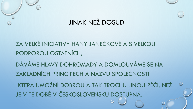

## ZA VELKÉ INICIATIVY HANY JANEČKOVÉ A S VELKOU PODPOROU OSTATNÍCH,

DÁVÁME HLAVY DOHROMADY A DOMLOUVÁME SE NA ZÁKLADNÍCH PRINCIPECH A NÁZVU SPOLEČNOSTI

KTERÁ UMOŽNÍ DOBROU A TAK TROCHU JINOU PÉČI, NEŽ  $\circ$ JE V TÉ DOBĚ V ČESKOSLOVENSKU DOSTUPNÁ.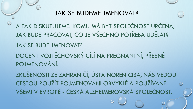#### JAK SE BUDEME JMENOVAT?

A TAK DISKUTUJEME. KOMU MÁ BÝT SPOLEČNOST URČENA, JAK BUDE PRACOVAT, CO JE VŠECHNO POTŘEBA UDĚLAT?

JAK SE BUDE JMENOVAT?

DOCENT VOJTĚCHOVSKÝ CÍLÍ NA PREGNANTNÍ, PŘESNÉ POJMENOVÁNÍ.

ZKUŠENOSTI ZE ZAHRANIČÍ, ÚSTA NOREN CIBA, NÁS VEDOU CESTOU POUŽÍT POJMENOVÁNÍ OBVYKLÉ A POUŽÍVANÉ VŠEMI V EVROPĚ - ČESKÁ ALZHEIMEROVSKÁ SPOLEČNOST.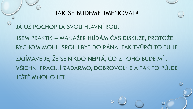#### **JAK SE BUDEME JMENOVAT?**

JÁ UŽ POCHOPILA SVOU HLAVNÍ ROLI,

JSEM PRAKTIK – MANAŽER HLÍDÁM ČAS DISKUZE, PROTOŽE BYCHOM MOHLI SPOLU BÝT DO RÁNA, TAK TVŮRČÍ TO TU JE. ZAJÍMAVÉ JE, ŽE SE NIKDO NEPTÁ, CO Z TOHO BUDE MÍT. VŠICHNI PRACUJÍ ZADARMO, DOBROVOLNĚ A TAK TO PŮJDE **JEŠTĚ MNOHO LET.**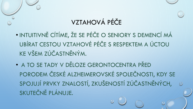## VZTAHOVÁ PÉČE

- · INTUITIVNĚ CÍTÍME, ŽE SE PÉČE O SENIORY S DEMENCÍ MÁ UBÍRAT CESTOU VZTAHOVÉ PÉČE S RESPEKTEM A ÚCTOU KE VŠEM ZÚČASTNĚNÝM.
- A TO SE TADY V DĚLOZE GERONTOCENTRA PŘED PORODEM ČESKÉ ALZHEIMEROVSKÉ SPOLEČNOSTI, KDY SE SPOJUJÍ PRVKY ZNALOSTÍ, ZKUŠENOSTÍ ZÚČASTNĚNÝCH, SKUTEČNĚ PLÁNUJE.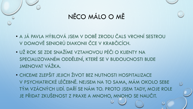## NĚCO MÁLO O MĚ

- A JÁ PAVLA HÝBLOVÁ JSEM V DOBĚ ZRODU ČALS VRCHNÍ SESTROU V DOMOVĚ SENIORŮ DIAKONII ČCE V KRABČICÍCH.
- UŽ ROK SE ZDE SNAŽÍME VZTAHOVOU PÉČI O KLIENTY NA SPECIALIZOVANÉM ODDĚLENÍ, KTERÉ SE V BUDOUCNOSTI BUDE JMENOVAT VÁŽKA.
- CHCEME ZLEPŠIT JEJICH ŽIVOT BEZ NUTNOSTI HOSPITALIZACE V PSYCHIATRICKÉ LÉČEBNĚ. NEJSEM NA TO SAMA, MÁM OKOLO SEBE TÝM VZÁCNÝCH LIDÍ. DAŘÍ SE NÁM TO. PROTO JSEM TADY, MOJE ROLE JE PŘIDAT ZKUŠENOST Z PRAXE A MNOHO, MNOHO SE NAUČIT.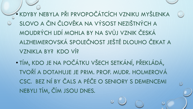• KDYBY NEBYLA PŘI PRVOPOČÁTCÍCH VZNIKU MYŠLENKA SLOVO A ČIN ČLOVĚKA NA VÝSOST NEZIŠTNÝCH A MOUDRÝCH LIDÍ MOHLA BY NA SVŮJ VZNIK ČESKÁ ALZHEIMEROVSKÁ SPOLEČNOST JEŠTĚ DLOUHO ČEKAT A VZNIKLA BY? KDO VÍ?

• TÍM, KDO JE NA POČÁTKU VŠECH SETKÁNÍ, PŘEKLÁDÁ, TVOŘÍ A DOTAHUJE JE PRIM. PROF. MUDR. HOLMEROVÁ CSC. BEZ NÍ BY ČALS A PÉČE O SENIORY S DEMENCEMI NEBYLI TÍM, ČÍM JSOU DNES.